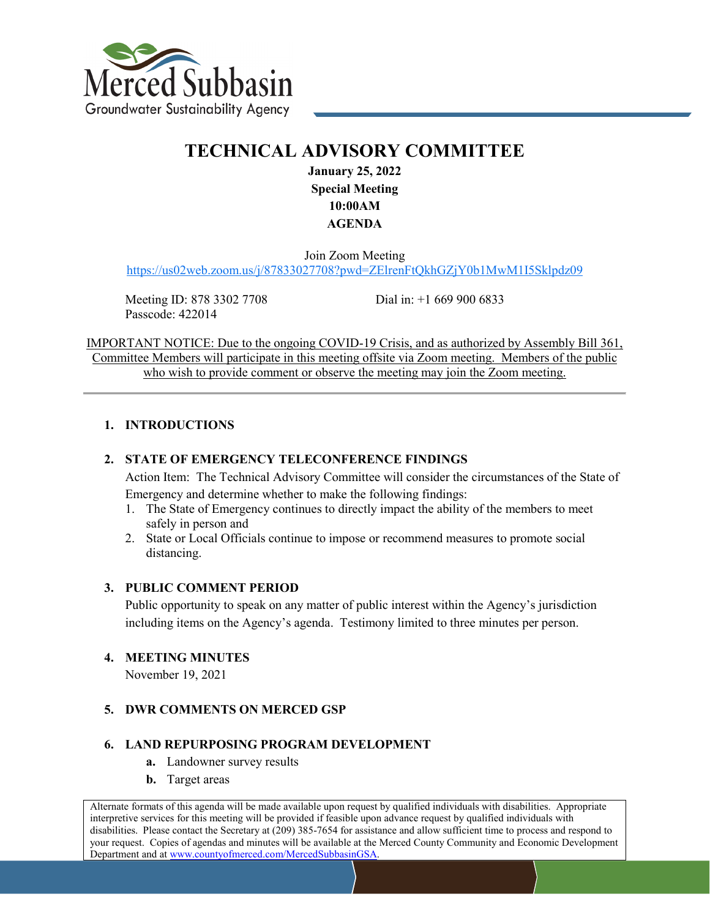

# **TECHNICAL ADVISORY COMMITTEE**

**January 25, 2022 Special Meeting 10:00AM AGENDA**

Join Zoom Meeting <https://us02web.zoom.us/j/87833027708?pwd=ZElrenFtQkhGZjY0b1MwM1I5Sklpdz09>

Meeting ID: 878 3302 7708 Passcode: 422014

Dial in: +1 669 900 6833

IMPORTANT NOTICE: Due to the ongoing COVID-19 Crisis, and as authorized by Assembly Bill 361, Committee Members will participate in this meeting offsite via Zoom meeting. Members of the public who wish to provide comment or observe the meeting may join the Zoom meeting.

#### **1. INTRODUCTIONS**

#### **2. STATE OF EMERGENCY TELECONFERENCE FINDINGS**

Action Item: The Technical Advisory Committee will consider the circumstances of the State of Emergency and determine whether to make the following findings:

- 1. The State of Emergency continues to directly impact the ability of the members to meet safely in person and
- 2. State or Local Officials continue to impose or recommend measures to promote social distancing.

#### **3. PUBLIC COMMENT PERIOD**

Public opportunity to speak on any matter of public interest within the Agency's jurisdiction including items on the Agency's agenda. Testimony limited to three minutes per person.

#### **4. MEETING MINUTES**

November 19, 2021

#### **5. DWR COMMENTS ON MERCED GSP**

#### **6. LAND REPURPOSING PROGRAM DEVELOPMENT**

- **a.** Landowner survey results
- **b.** Target areas

Alternate formats of this agenda will be made available upon request by qualified individuals with disabilities. Appropriate interpretive services for this meeting will be provided if feasible upon advance request by qualified individuals with disabilities. Please contact the Secretary at (209) 385-7654 for assistance and allow sufficient time to process and respond to your request. Copies of agendas and minutes will be available at the Merced County Community and Economic Development Department and at www.countyofmerced.com/MercedSubbasinGSA.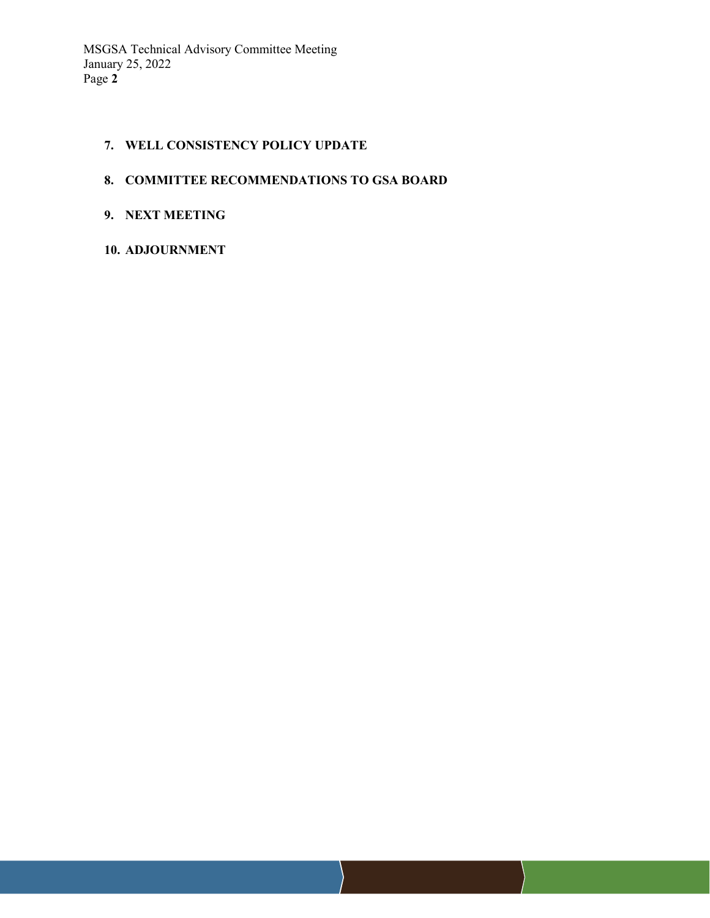#### **7. WELL CONSISTENCY POLICY UPDATE**

## **8. COMMITTEE RECOMMENDATIONS TO GSA BOARD**

## **9. NEXT MEETING**

## **10. ADJOURNMENT**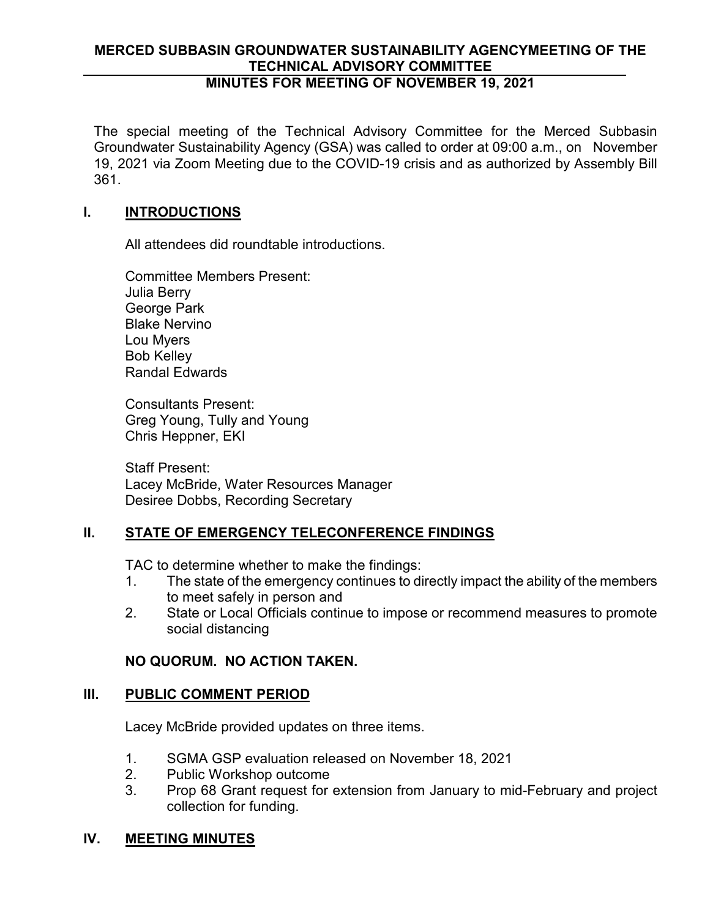# **MERCED SUBBASIN GROUNDWATER SUSTAINABILITY AGENCYMEETING OF THE TECHNICAL ADVISORY COMMITTEE**

# **MINUTES FOR MEETING OF NOVEMBER 19, 2021**

The special meeting of the Technical Advisory Committee for the Merced Subbasin Groundwater Sustainability Agency (GSA) was called to order at 09:00 a.m., on November 19, 2021 via Zoom Meeting due to the COVID-19 crisis and as authorized by Assembly Bill 361.

# **I. INTRODUCTIONS**

All attendees did roundtable introductions.

Committee Members Present: Julia Berry George Park Blake Nervino Lou Myers Bob Kelley Randal Edwards

Consultants Present: Greg Young, Tully and Young Chris Heppner, EKI

Staff Present: Lacey McBride, Water Resources Manager Desiree Dobbs, Recording Secretary

# **II. STATE OF EMERGENCY TELECONFERENCE FINDINGS**

TAC to determine whether to make the findings:

- 1. The state of the emergency continues to directly impact the ability of the members to meet safely in person and
- 2. State or Local Officials continue to impose or recommend measures to promote social distancing

# **NO QUORUM. NO ACTION TAKEN.**

# **III.** PUBLIC COMMENT PERIOD

Lacey McBride provided updates on three items.

- 1. SGMA GSP evaluation released on November 18, 2021
- 2. Public Workshop outcome
- 3. Prop 68 Grant request for extension from January to mid-February and project collection for funding.

# **IV. MEETING MINUTES**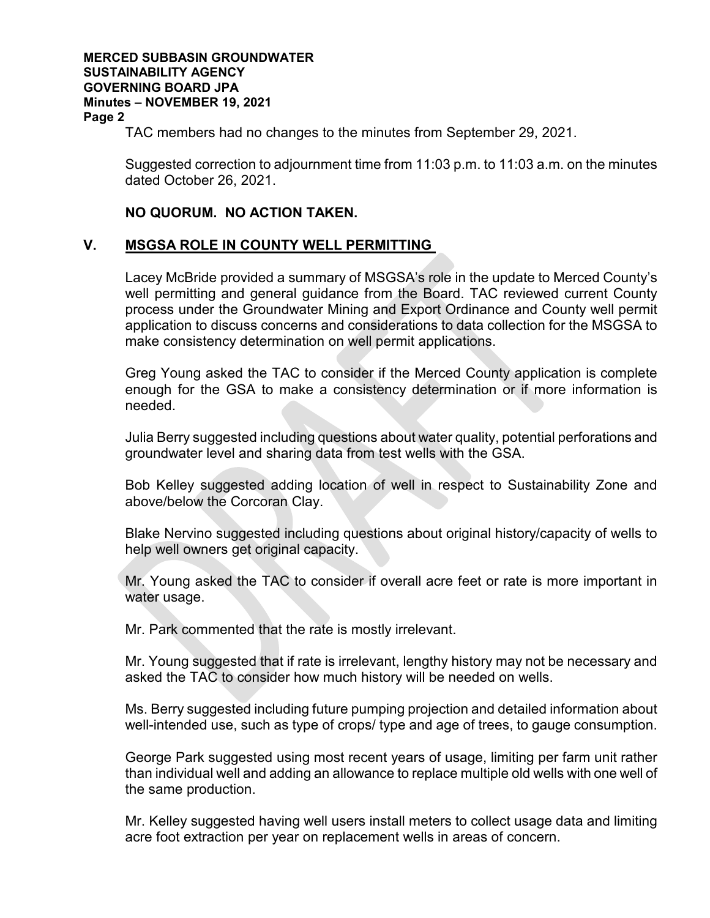#### **MERCED SUBBASIN GROUNDWATER SUSTAINABILITY AGENCY GOVERNING BOARD JPA Minutes – NOVEMBER 19, 2021 Page 2**

TAC members had no changes to the minutes from September 29, 2021.

Suggested correction to adjournment time from 11:03 p.m. to 11:03 a.m. on the minutes dated October 26, 2021.

## **NO QUORUM. NO ACTION TAKEN.**

## **V. MSGSA ROLE IN COUNTY WELL PERMITTING**

Lacey McBride provided a summary of MSGSA's role in the update to Merced County's well permitting and general guidance from the Board. TAC reviewed current County process under the Groundwater Mining and Export Ordinance and County well permit application to discuss concerns and considerations to data collection for the MSGSA to make consistency determination on well permit applications.

Greg Young asked the TAC to consider if the Merced County application is complete enough for the GSA to make a consistency determination or if more information is needed.

Julia Berry suggested including questions about water quality, potential perforations and groundwater level and sharing data from test wells with the GSA.

Bob Kelley suggested adding location of well in respect to Sustainability Zone and above/below the Corcoran Clay.

Blake Nervino suggested including questions about original history/capacity of wells to help well owners get original capacity.

Mr. Young asked the TAC to consider if overall acre feet or rate is more important in water usage.

Mr. Park commented that the rate is mostly irrelevant.

Mr. Young suggested that if rate is irrelevant, lengthy history may not be necessary and asked the TAC to consider how much history will be needed on wells.

Ms. Berry suggested including future pumping projection and detailed information about well-intended use, such as type of crops/ type and age of trees, to gauge consumption.

George Park suggested using most recent years of usage, limiting per farm unit rather than individual well and adding an allowance to replace multiple old wells with one well of the same production.

Mr. Kelley suggested having well users install meters to collect usage data and limiting acre foot extraction per year on replacement wells in areas of concern.